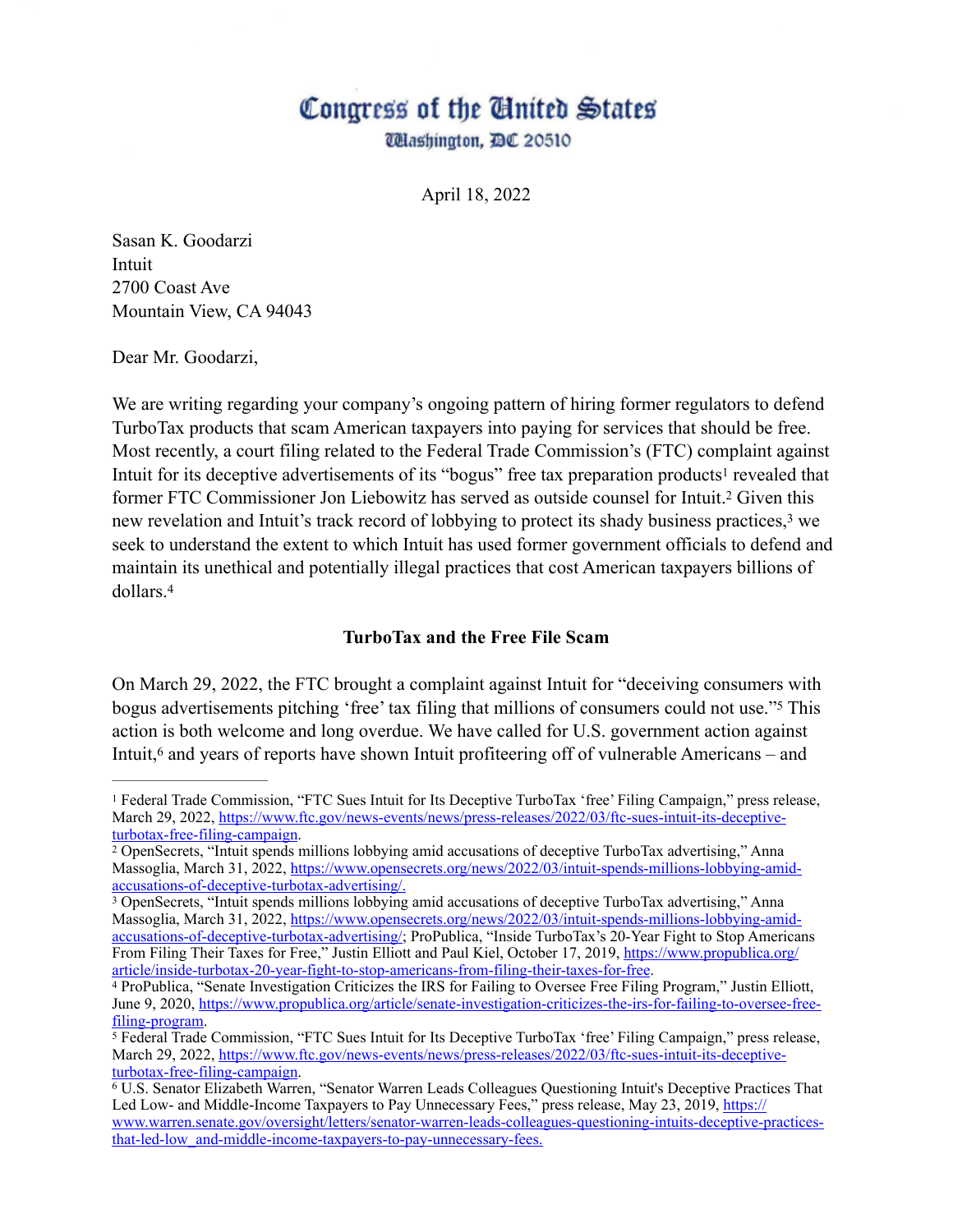# Congress of the Cinited States

*Ullashington, DC 20510* 

April 18, 2022

Sasan K. Goodarzi Intuit 2700 Coast Ave Mountain View, CA 94043

Dear Mr. Goodarzi,

We are writing regarding your company's ongoing pattern of hiring former regulators to defend TurboTax products that scam American taxpayers into paying for services that should be free. Most recently, a court filing related to the Federal Trade Commission's (FTC) complaint against Intuit for its deceptive advertisements of its "bogus" free tax preparation products<sup>1</sup> revealed that former FTC Commissioner Jon Liebowitz has served as outside counsel for Intuit.<sup>2</sup> Given this new revelation and Intuit's track record of lobbying to protect its shady business practices,<sup>3</sup> we seek to understand the extent to which Intuit has used former government officials to defend and maintain its unethical and potentially illegal practices that cost American taxpayers billions of dollars.4

#### **TurboTax and the Free File Scam**

On March 29, 2022, the FTC brought a complaint against Intuit for "deceiving consumers with bogus advertisements pitching 'free' tax filing that millions of consumers could not use."<sup>5</sup> This action is both welcome and long overdue. We have called for U.S. government action against Intuit, $6$  and years of reports have shown Intuit profiteering off of vulnerable Americans – and

Federal Trade Commission, "FTC Sues Intuit for Its Deceptive TurboTax 'free' Filing Campaign," press release, 1 March 29, 2022, https://www.ftc.gov/news-events/news/press-releases/2022/03/ftc-sues-intuit-its-deceptiveturbotax-free-filing-campaign.

OpenSecrets, "Intuit spends millions lobbying amid accusations of deceptive TurboTax advertising," Anna 2 Massoglia, March 31, 2022, https://www.opensecrets.org/news/2022/03/intuit-spends-millions-lobbying-amidaccusations-of-deceptive-turbotax-advertising/.

OpenSecrets, "Intuit spends millions lobbying amid accusations of deceptive TurboTax advertising," Anna 3 Massoglia, March 31, 2022, https://www.opensecrets.org/news/2022/03/intuit-spends-millions-lobbying-amidaccusations-of-deceptive-turbotax-advertising/; ProPublica, "Inside TurboTax's 20-Year Fight to Stop Americans From Filing Their Taxes for Free," Justin Elliott and Paul Kiel, October 17, 2019, https://www.propublica.org/ article/inside-turbotax-20-year-fight-to-stop-americans-from-filing-their-taxes-for-free.

ProPublica, "Senate Investigation Criticizes the IRS for Failing to Oversee Free Filing Program," Justin Elliott, 4 June 9, 2020, https://www.propublica.org/article/senate-investigation-criticizes-the-irs-for-failing-to-oversee-freefiling-program.

Federal Trade Commission, "FTC Sues Intuit for Its Deceptive TurboTax 'free' Filing Campaign," press release, 5 March 29, 2022, https://www.ftc.gov/news-events/news/press-releases/2022/03/ftc-sues-intuit-its-deceptiveturbotax-free-filing-campaign.

U.S. Senator Elizabeth Warren, "Senator Warren Leads Colleagues Questioning Intuit's Deceptive Practices That 6 Led Low- and Middle-Income Taxpayers to Pay Unnecessary Fees," press release, May 23, 2019, https:// www.warren.senate.gov/oversight/letters/senator-warren-leads-colleagues-questioning-intuits-deceptive-practicesthat-led-low\_and-middle-income-taxpayers-to-pay-unnecessary-fees.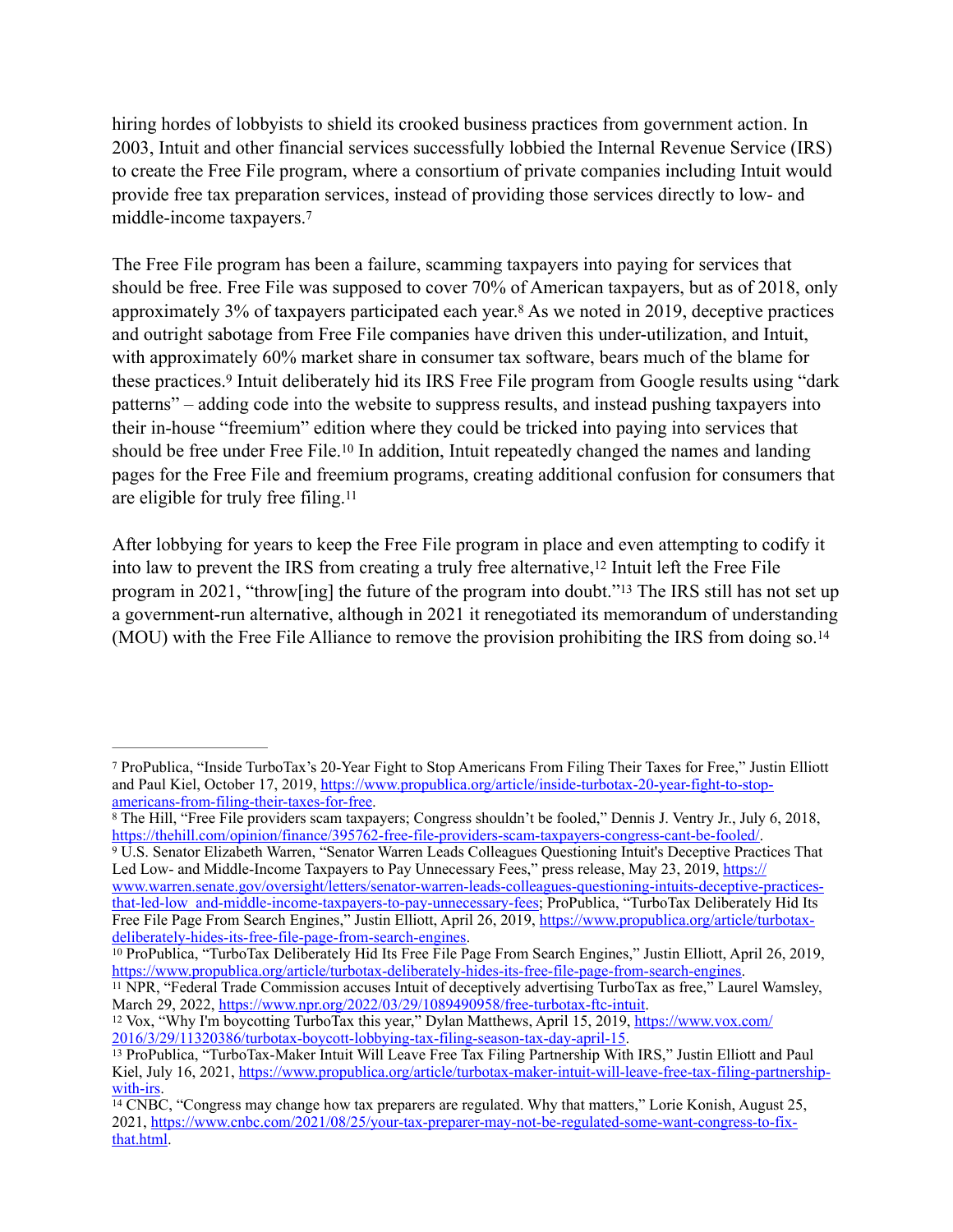hiring hordes of lobbyists to shield its crooked business practices from government action. In 2003, Intuit and other financial services successfully lobbied the Internal Revenue Service (IRS) to create the Free File program, where a consortium of private companies including Intuit would provide free tax preparation services, instead of providing those services directly to low- and middle-income taxpayers.7

The Free File program has been a failure, scamming taxpayers into paying for services that should be free. Free File was supposed to cover 70% of American taxpayers, but as of 2018, only approximately 3% of taxpayers participated each year.<sup>8</sup> As we noted in 2019, deceptive practices and outright sabotage from Free File companies have driven this under-utilization, and Intuit, with approximately 60% market share in consumer tax software, bears much of the blame for these practices.<sup>9</sup> Intuit deliberately hid its IRS Free File program from Google results using "dark" patterns" – adding code into the website to suppress results, and instead pushing taxpayers into their in-house "freemium" edition where they could be tricked into paying into services that should be free under Free File.<sup>10</sup> In addition, Intuit repeatedly changed the names and landing pages for the Free File and freemium programs, creating additional confusion for consumers that are eligible for truly free filing.11

After lobbying for years to keep the Free File program in place and even attempting to codify it into law to prevent the IRS from creating a truly free alternative,<sup>12</sup> Intuit left the Free File program in 2021, "throw[ing] the future of the program into doubt."<sup>13</sup> The IRS still has not set up a government-run alternative, although in 2021 it renegotiated its memorandum of understanding (MOU) with the Free File Alliance to remove the provision prohibiting the IRS from doing so.14

<sup>9</sup> U.S. Senator Elizabeth Warren, "Senator Warren Leads Colleagues Questioning Intuit's Deceptive Practices That Led Low- and Middle-Income Taxpayers to Pay Unnecessary Fees," press release, May 23, 2019, https:// www.warren.senate.gov/oversight/letters/senator-warren-leads-colleagues-questioning-intuits-deceptive-practicesthat-led-low\_and-middle-income-taxpayers-to-pay-unnecessary-fees; ProPublica, "TurboTax Deliberately Hid Its

Free File Page From Search Engines," Justin Elliott, April 26, 2019, https://www.propublica.org/article/turbotaxdeliberately-hides-its-free-file-page-from-search-engines.

<sup>10</sup> ProPublica, "TurboTax Deliberately Hid Its Free File Page From Search Engines," Justin Elliott, April 26, 2019, https://www.propublica.org/article/turbotax-deliberately-hides-its-free-file-page-from-search-engines.

<sup>11</sup> NPR, "Federal Trade Commission accuses Intuit of deceptively advertising TurboTax as free," Laurel Wamsley, March 29, 2022, https://www.npr.org/2022/03/29/1089490958/free-turbotax-ftc-intuit.

<sup>12</sup> Vox, "Why I'm boycotting TurboTax this year," Dylan Matthews, April 15, 2019, https://www.vox.com/ 2016/3/29/11320386/turbotax-boycott-lobbying-tax-filing-season-tax-day-april-15.

ProPublica, "Inside TurboTax's 20-Year Fight to Stop Americans From Filing Their Taxes for Free," Justin Elliott 7 and Paul Kiel, October 17, 2019, https://www.propublica.org/article/inside-turbotax-20-year-fight-to-stopamericans-from-filing-their-taxes-for-free.

The Hill, "Free File providers scam taxpayers; Congress shouldn't be fooled," Dennis J. Ventry Jr., July 6, 2018, 8 https://thehill.com/opinion/finance/395762-free-file-providers-scam-taxpayers-congress-cant-be-fooled/.

<sup>&</sup>lt;sup>13</sup> ProPublica, "TurboTax-Maker Intuit Will Leave Free Tax Filing Partnership With IRS," Justin Elliott and Paul Kiel, July 16, 2021, https://www.propublica.org/article/turbotax-maker-intuit-will-leave-free-tax-filing-partnershipwith-irs.

<sup>&</sup>lt;sup>14</sup> CNBC, "Congress may change how tax preparers are regulated. Why that matters," Lorie Konish, August 25, 2021, https://www.cnbc.com/2021/08/25/your-tax-preparer-may-not-be-regulated-some-want-congress-to-fixthat.html.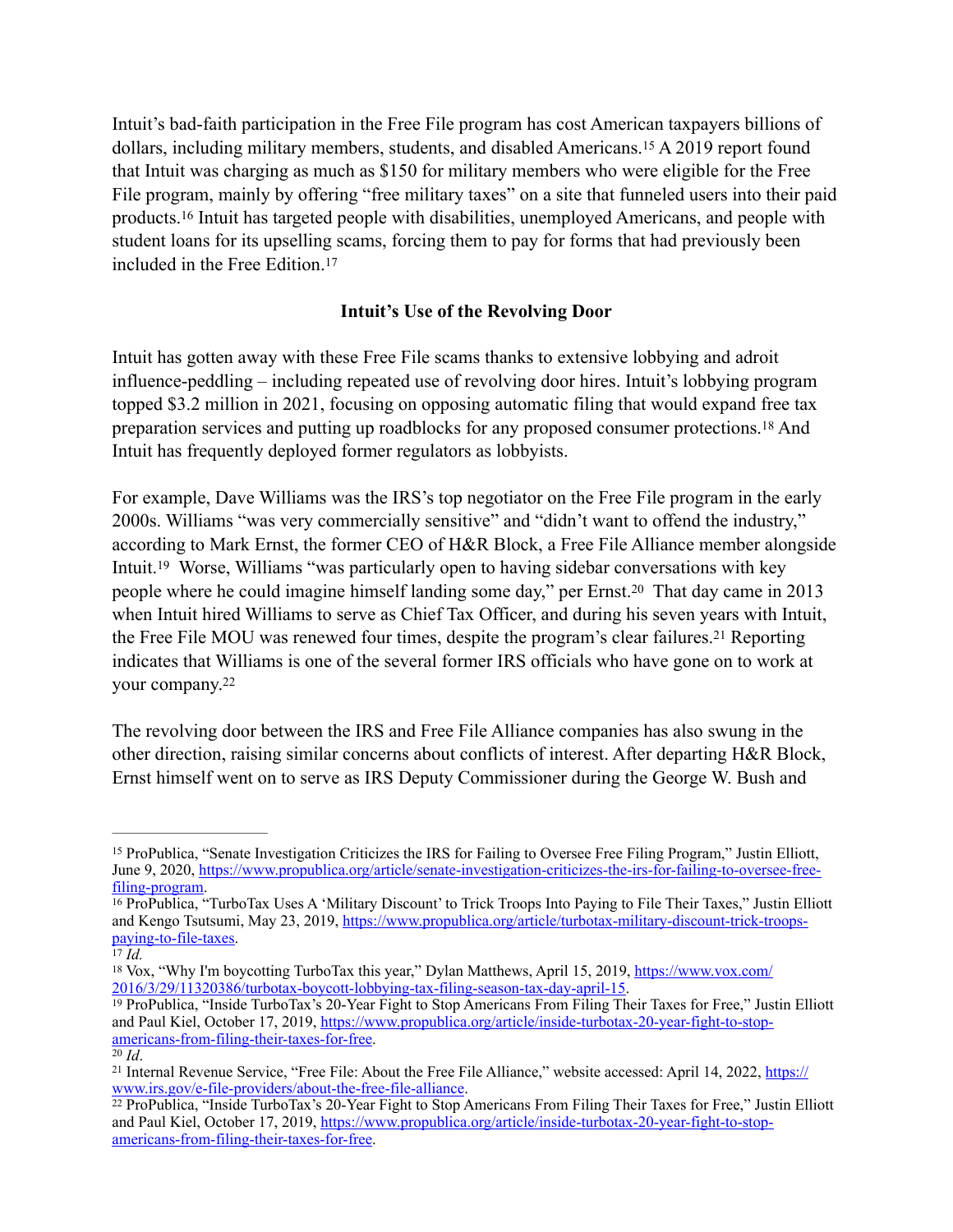Intuit's bad-faith participation in the Free File program has cost American taxpayers billions of dollars, including military members, students, and disabled Americans.<sup>15</sup> A 2019 report found that Intuit was charging as much as \$150 for military members who were eligible for the Free File program, mainly by offering "free military taxes" on a site that funneled users into their paid products. <sup>16</sup> Intuit has targeted people with disabilities, unemployed Americans, and people with student loans for its upselling scams, forcing them to pay for forms that had previously been included in the Free Edition.17

### **Intuit's Use of the Revolving Door**

Intuit has gotten away with these Free File scams thanks to extensive lobbying and adroit influence-peddling – including repeated use of revolving door hires. Intuit's lobbying program topped \$3.2 million in 2021, focusing on opposing automatic filing that would expand free tax preparation services and putting up roadblocks for any proposed consumer protections.<sup>18</sup> And Intuit has frequently deployed former regulators as lobbyists.

For example, Dave Williams was the IRS's top negotiator on the Free File program in the early 2000s. Williams "was very commercially sensitive" and "didn't want to offend the industry," according to Mark Ernst, the former CEO of H&R Block, a Free File Alliance member alongside Intuit.<sup>19</sup> Worse, Williams "was particularly open to having sidebar conversations with key people where he could imagine himself landing some day," per Ernst.<sup>20</sup> That day came in 2013 when Intuit hired Williams to serve as Chief Tax Officer, and during his seven years with Intuit, the Free File MOU was renewed four times, despite the program's clear failures.<sup>21</sup> Reporting indicates that Williams is one of the several former IRS officials who have gone on to work at your company.22

The revolving door between the IRS and Free File Alliance companies has also swung in the other direction, raising similar concerns about conflicts of interest. After departing H&R Block, Ernst himself went on to serve as IRS Deputy Commissioner during the George W. Bush and

<sup>&</sup>lt;sup>15</sup> ProPublica, "Senate Investigation Criticizes the IRS for Failing to Oversee Free Filing Program," Justin Elliott, June 9, 2020, https://www.propublica.org/article/senate-investigation-criticizes-the-irs-for-failing-to-oversee-freefiling-program.

<sup>&</sup>lt;sup>16</sup> ProPublica, "TurboTax Uses A 'Military Discount' to Trick Troops Into Paying to File Their Taxes," Justin Elliott and Kengo Tsutsumi, May 23, 2019, https://www.propublica.org/article/turbotax-military-discount-trick-troopspaying-to-file-taxes.

 $\overline{I}$ <sup>7</sup> $\overline{Id}$ .

<sup>&</sup>lt;sup>18</sup> Vox, "Why I'm boycotting TurboTax this year," Dylan Matthews, April 15, 2019, https://www.vox.com/ 2016/3/29/11320386/turbotax-boycott-lobbying-tax-filing-season-tax-day-april-15.

<sup>&</sup>lt;sup>19</sup> ProPublica, "Inside TurboTax's 20-Year Fight to Stop Americans From Filing Their Taxes for Free," Justin Elliott and Paul Kiel, October 17, 2019, https://www.propublica.org/article/inside-turbotax-20-year-fight-to-stopamericans-from-filing-their-taxes-for-free.

 $20$  *Id*.

<sup>&</sup>lt;sup>21</sup> Internal Revenue Service, "Free File: About the Free File Alliance," website accessed: April 14, 2022, https:// www.irs.gov/e-file-providers/about-the-free-file-alliance.

ProPublica, "Inside TurboTax's 20-Year Fight to Stop Americans From Filing Their Taxes for Free," Justin Elliott 22 and Paul Kiel, October 17, 2019, https://www.propublica.org/article/inside-turbotax-20-year-fight-to-stopamericans-from-filing-their-taxes-for-free.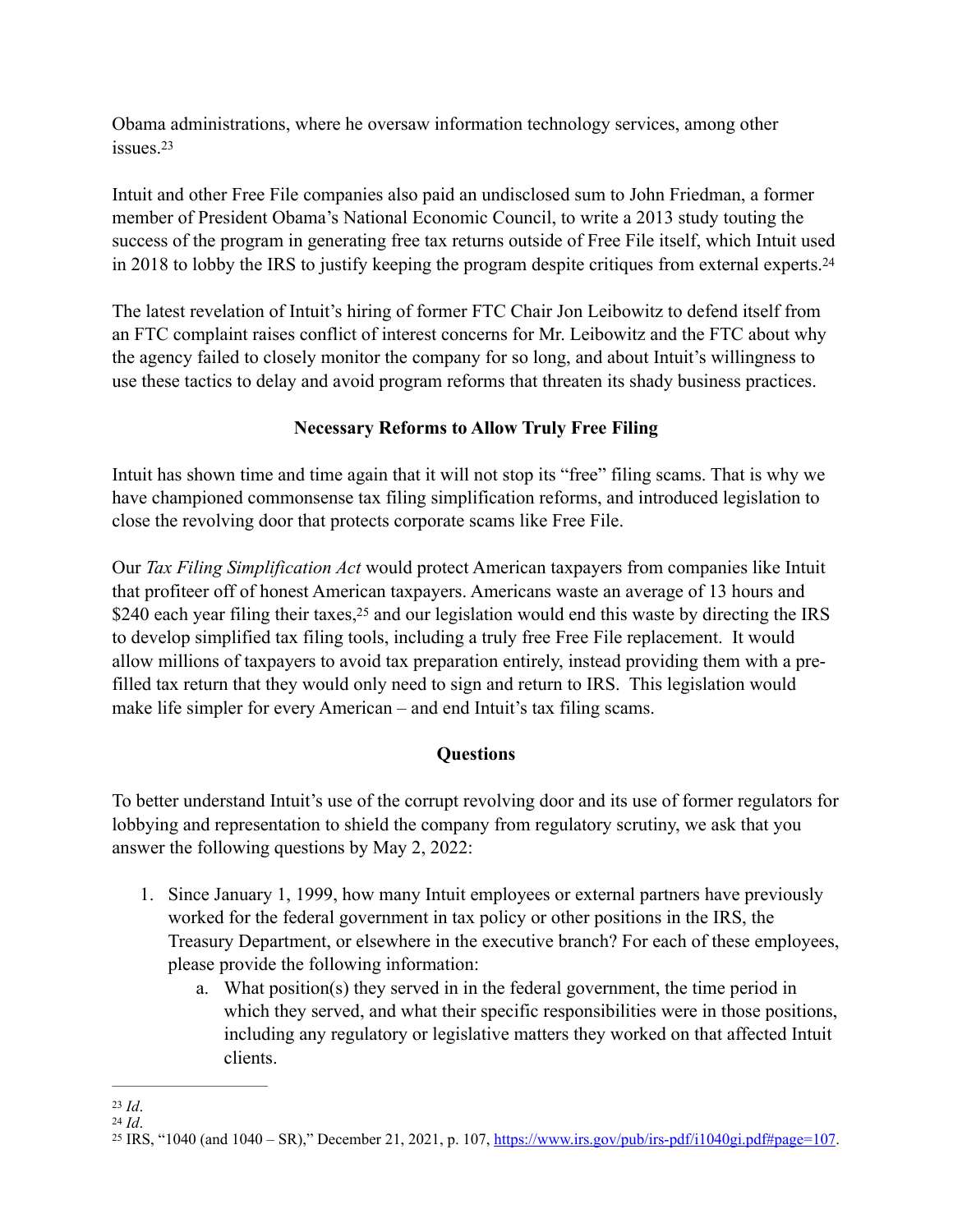Obama administrations, where he oversaw information technology services, among other issues.23

Intuit and other Free File companies also paid an undisclosed sum to John Friedman, a former member of President Obama's National Economic Council, to write a 2013 study touting the success of the program in generating free tax returns outside of Free File itself, which Intuit used in 2018 to lobby the IRS to justify keeping the program despite critiques from external experts.24

The latest revelation of Intuit's hiring of former FTC Chair Jon Leibowitz to defend itself from an FTC complaint raises conflict of interest concerns for Mr. Leibowitz and the FTC about why the agency failed to closely monitor the company for so long, and about Intuit's willingness to use these tactics to delay and avoid program reforms that threaten its shady business practices.

## **Necessary Reforms to Allow Truly Free Filing**

Intuit has shown time and time again that it will not stop its "free" filing scams. That is why we have championed commonsense tax filing simplification reforms, and introduced legislation to close the revolving door that protects corporate scams like Free File.

Our *Tax Filing Simplification Act* would protect American taxpayers from companies like Intuit that profiteer off of honest American taxpayers. Americans waste an average of 13 hours and \$240 each year filing their taxes,  $25$  and our legislation would end this waste by directing the IRS to develop simplified tax filing tools, including a truly free Free File replacement. It would allow millions of taxpayers to avoid tax preparation entirely, instead providing them with a prefilled tax return that they would only need to sign and return to IRS. This legislation would make life simpler for every American – and end Intuit's tax filing scams.

## **Questions**

To better understand Intuit's use of the corrupt revolving door and its use of former regulators for lobbying and representation to shield the company from regulatory scrutiny, we ask that you answer the following questions by May 2, 2022:

- 1. Since January 1, 1999, how many Intuit employees or external partners have previously worked for the federal government in tax policy or other positions in the IRS, the Treasury Department, or elsewhere in the executive branch? For each of these employees, please provide the following information:
	- a. What position(s) they served in in the federal government, the time period in which they served, and what their specific responsibilities were in those positions, including any regulatory or legislative matters they worked on that affected Intuit clients.

 $23$  *Id.* 

 $^{24}$  *Id*.

<sup>&</sup>lt;sup>25</sup> IRS, "1040 (and  $1040 - SR$ )," December 21, 2021, p. 107, https://www.irs.gov/pub/irs-pdf/i1040gi.pdf#page=107.